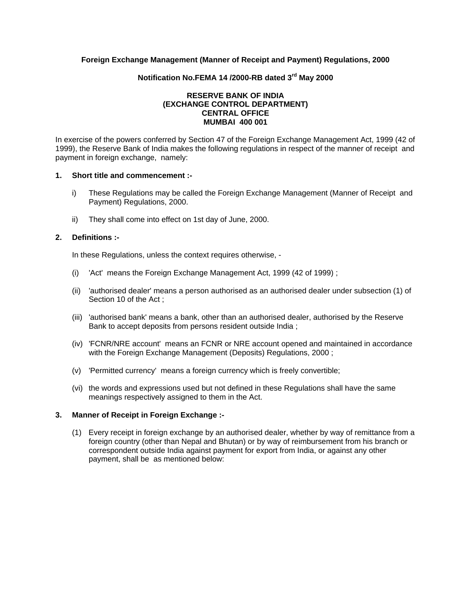## **Foreign Exchange Management (Manner of Receipt and Payment) Regulations, 2000**

# **Notification No.FEMA 14 /2000-RB dated 3rd May 2000**

### **RESERVE BANK OF INDIA (EXCHANGE CONTROL DEPARTMENT) CENTRAL OFFICE MUMBAI 400 001**

In exercise of the powers conferred by Section 47 of the Foreign Exchange Management Act, 1999 (42 of 1999), the Reserve Bank of India makes the following regulations in respect of the manner of receipt and payment in foreign exchange, namely:

#### **1. Short title and commencement :-**

- i) These Regulations may be called the Foreign Exchange Management (Manner of Receipt and Payment) Regulations, 2000.
- ii) They shall come into effect on 1st day of June, 2000.

## **2. Definitions :-**

In these Regulations, unless the context requires otherwise, -

- (i) 'Act' means the Foreign Exchange Management Act, 1999 (42 of 1999) ;
- (ii) 'authorised dealer' means a person authorised as an authorised dealer under subsection (1) of Section 10 of the Act ;
- (iii) 'authorised bank' means a bank, other than an authorised dealer, authorised by the Reserve Bank to accept deposits from persons resident outside India ;
- (iv) 'FCNR/NRE account' means an FCNR or NRE account opened and maintained in accordance with the Foreign Exchange Management (Deposits) Regulations, 2000 ;
- (v) 'Permitted currency' means a foreign currency which is freely convertible;
- (vi) the words and expressions used but not defined in these Regulations shall have the same meanings respectively assigned to them in the Act.

#### **3. Manner of Receipt in Foreign Exchange :-**

 (1) Every receipt in foreign exchange by an authorised dealer, whether by way of remittance from a foreign country (other than Nepal and Bhutan) or by way of reimbursement from his branch or correspondent outside India against payment for export from India, or against any other payment, shall be as mentioned below: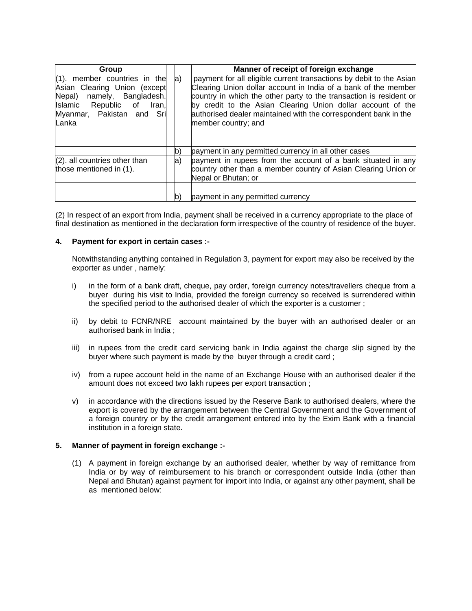| Group                                                                                                                                                                  |             | Manner of receipt of foreign exchange                                                                                                                                                                                                                                                                                                                                |
|------------------------------------------------------------------------------------------------------------------------------------------------------------------------|-------------|----------------------------------------------------------------------------------------------------------------------------------------------------------------------------------------------------------------------------------------------------------------------------------------------------------------------------------------------------------------------|
| $(1)$ . member countries in the<br>Asian Clearing Union (except<br>namely, Bangladesh.<br>Nepal)<br>Islamic Republic of<br>Iran,<br>Myanmar, Pakistan and Sri<br>Lanka | $ a\rangle$ | payment for all eligible current transactions by debit to the Asian<br>Clearing Union dollar account in India of a bank of the member<br>country in which the other party to the transaction is resident or<br>by credit to the Asian Clearing Union dollar account of the<br>authorised dealer maintained with the correspondent bank in the<br>member country; and |
|                                                                                                                                                                        |             |                                                                                                                                                                                                                                                                                                                                                                      |
|                                                                                                                                                                        | b)          | payment in any permitted currency in all other cases                                                                                                                                                                                                                                                                                                                 |
| $(2)$ . all countries other than<br>those mentioned in (1).                                                                                                            | $ a\rangle$ | payment in rupees from the account of a bank situated in any<br>country other than a member country of Asian Clearing Union or<br>Nepal or Bhutan; or                                                                                                                                                                                                                |
|                                                                                                                                                                        |             | payment in any permitted currency                                                                                                                                                                                                                                                                                                                                    |

(2) In respect of an export from India, payment shall be received in a currency appropriate to the place of final destination as mentioned in the declaration form irrespective of the country of residence of the buyer.

## **4. Payment for export in certain cases :-**

 Notwithstanding anything contained in Regulation 3, payment for export may also be received by the exporter as under , namely:

- i) in the form of a bank draft, cheque, pay order, foreign currency notes/travellers cheque from a buyer during his visit to India, provided the foreign currency so received is surrendered within the specified period to the authorised dealer of which the exporter is a customer ;
- ii) by debit to FCNR/NRE account maintained by the buyer with an authorised dealer or an authorised bank in India ;
- iii) in rupees from the credit card servicing bank in India against the charge slip signed by the buyer where such payment is made by the buyer through a credit card ;
- iv) from a rupee account held in the name of an Exchange House with an authorised dealer if the amount does not exceed two lakh rupees per export transaction ;
- v) in accordance with the directions issued by the Reserve Bank to authorised dealers, where the export is covered by the arrangement between the Central Government and the Government of a foreign country or by the credit arrangement entered into by the Exim Bank with a financial institution in a foreign state.

#### **5. Manner of payment in foreign exchange :-**

 (1) A payment in foreign exchange by an authorised dealer, whether by way of remittance from India or by way of reimbursement to his branch or correspondent outside India (other than Nepal and Bhutan) against payment for import into India, or against any other payment, shall be as mentioned below: